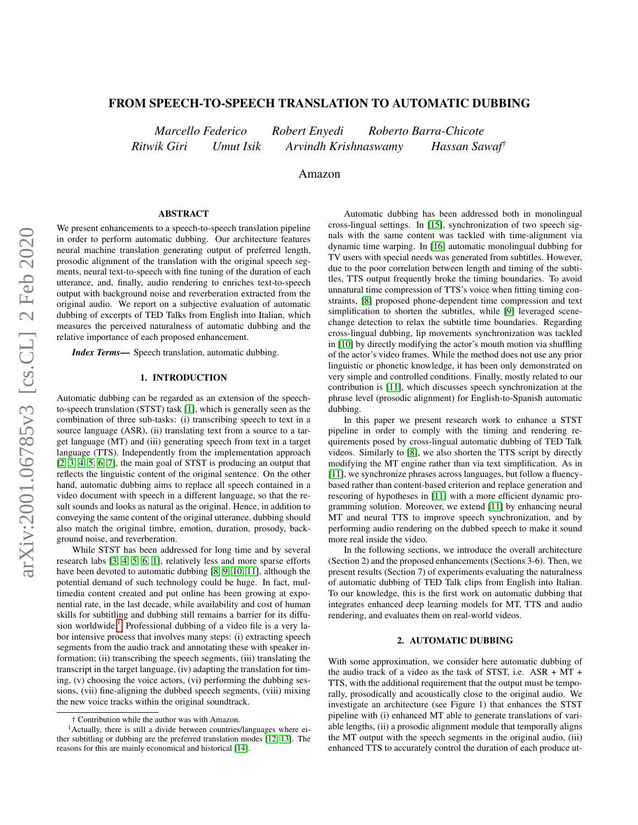# FROM SPEECH-TO-SPEECH TRANSLATION TO AUTOMATIC DUBBING

*Marcello Federico Robert Enyedi Roberto Barra-Chicote Ritwik Giri Umut Isik Arvindh Krishnaswamy Hassan Sawaf†*

Amazon

#### ABSTRACT

We present enhancements to a speech-to-speech translation pipeline in order to perform automatic dubbing. Our architecture features neural machine translation generating output of preferred length, prosodic alignment of the translation with the original speech segments, neural text-to-speech with fine tuning of the duration of each utterance, and, finally, audio rendering to enriches text-to-speech output with background noise and reverberation extracted from the original audio. We report on a subjective evaluation of automatic dubbing of excerpts of TED Talks from English into Italian, which measures the perceived naturalness of automatic dubbing and the relative importance of each proposed enhancement.

*Index Terms*— Speech translation, automatic dubbing.

# 1. INTRODUCTION

Automatic dubbing can be regarded as an extension of the speechto-speech translation (STST) task [\[1\]](#page-4-0), which is generally seen as the combination of three sub-tasks: (i) transcribing speech to text in a source language (ASR), (ii) translating text from a source to a target language (MT) and (iii) generating speech from text in a target language (TTS). Independently from the implementation approach [\[2,](#page-4-1) [3,](#page-4-2) [4,](#page-4-3) [5,](#page-4-4) [6,](#page-4-5) [7\]](#page-4-6), the main goal of STST is producing an output that reflects the linguistic content of the original sentence. On the other hand, automatic dubbing aims to replace all speech contained in a video document with speech in a different language, so that the result sounds and looks as natural as the original. Hence, in addition to conveying the same content of the original utterance, dubbing should also match the original timbre, emotion, duration, prosody, background noise, and reverberation.

While STST has been addressed for long time and by several research labs [\[3,](#page-4-2) [4,](#page-4-3) [5,](#page-4-4) [6,](#page-4-5) [1\]](#page-4-0), relatively less and more sparse efforts have been devoted to automatic dubbing [\[8,](#page-4-7) [9,](#page-4-8) [10,](#page-4-9) [11\]](#page-4-10), although the potential demand of such technology could be huge. In fact, multimedia content created and put online has been growing at exponential rate, in the last decade, while availability and cost of human skills for subtitling and dubbing still remains a barrier for its diffu-sion worldwide.<sup>[1](#page-0-0)</sup> Professional dubbing of a video file is a very labor intensive process that involves many steps: (i) extracting speech segments from the audio track and annotating these with speaker information; (ii) transcribing the speech segments, (iii) translating the transcript in the target language, (iv) adapting the translation for timing, (v) choosing the voice actors, (vi) performing the dubbing sessions, (vii) fine-aligning the dubbed speech segments, (viii) mixing the new voice tracks within the original soundtrack.

Automatic dubbing has been addressed both in monolingual cross-lingual settings. In [\[15\]](#page-4-14), synchronization of two speech signals with the same content was tackled with time-alignment via dynamic time warping. In [\[16\]](#page-4-15) automatic monolingual dubbing for TV users with special needs was generated from subtitles. However, due to the poor correlation between length and timing of the subtitles, TTS output frequently broke the timing boundaries. To avoid unnatural time compression of TTS's voice when fitting timing constraints, [\[8\]](#page-4-7) proposed phone-dependent time compression and text simplification to shorten the subtitles, while [\[9\]](#page-4-8) leveraged scenechange detection to relax the subtitle time boundaries. Regarding cross-lingual dubbing, lip movements synchronization was tackled in [\[10\]](#page-4-9) by directly modifying the actor's mouth motion via shuffling of the actor's video frames. While the method does not use any prior linguistic or phonetic knowledge, it has been only demonstrated on very simple and controlled conditions. Finally, mostly related to our contribution is [\[11\]](#page-4-10), which discusses speech synchronization at the phrase level (prosodic alignment) for English-to-Spanish automatic dubbing.

In this paper we present research work to enhance a STST pipeline in order to comply with the timing and rendering requirements posed by cross-lingual automatic dubbing of TED Talk videos. Similarly to [\[8\]](#page-4-7), we also shorten the TTS script by directly modifying the MT engine rather than via text simplification. As in [\[11\]](#page-4-10), we synchronize phrases across languages, but follow a fluencybased rather than content-based criterion and replace generation and rescoring of hypotheses in [\[11\]](#page-4-10) with a more efficient dynamic programming solution. Moreover, we extend [\[11\]](#page-4-10) by enhancing neural MT and neural TTS to improve speech synchronization, and by performing audio rendering on the dubbed speech to make it sound more real inside the video.

In the following sections, we introduce the overall architecture (Section 2) and the proposed enhancements (Sections 3-6). Then, we present results (Section 7) of experiments evaluating the naturalness of automatic dubbing of TED Talk clips from English into Italian. To our knowledge, this is the first work on automatic dubbing that integrates enhanced deep learning models for MT, TTS and audio rendering, and evaluates them on real-world videos.

## 2. AUTOMATIC DUBBING

With some approximation, we consider here automatic dubbing of the audio track of a video as the task of STST, i.e. ASR + MT + TTS, with the additional requirement that the output must be temporally, prosodically and acoustically close to the original audio. We investigate an architecture (see Figure 1) that enhances the STST pipeline with (i) enhanced MT able to generate translations of variable lengths, (ii) a prosodic alignment module that temporally aligns the MT output with the speech segments in the original audio, (iii) enhanced TTS to accurately control the duration of each produce ut-

<span id="page-0-0"></span><sup>†</sup> Contribution while the author was with Amazon.

<sup>&</sup>lt;sup>1</sup> Actually, there is still a divide between countries/languages where either subtitling or dubbing are the preferred translation modes [\[12,](#page-4-11) [13\]](#page-4-12). The reasons for this are mainly economical and historical [\[14\]](#page-4-13).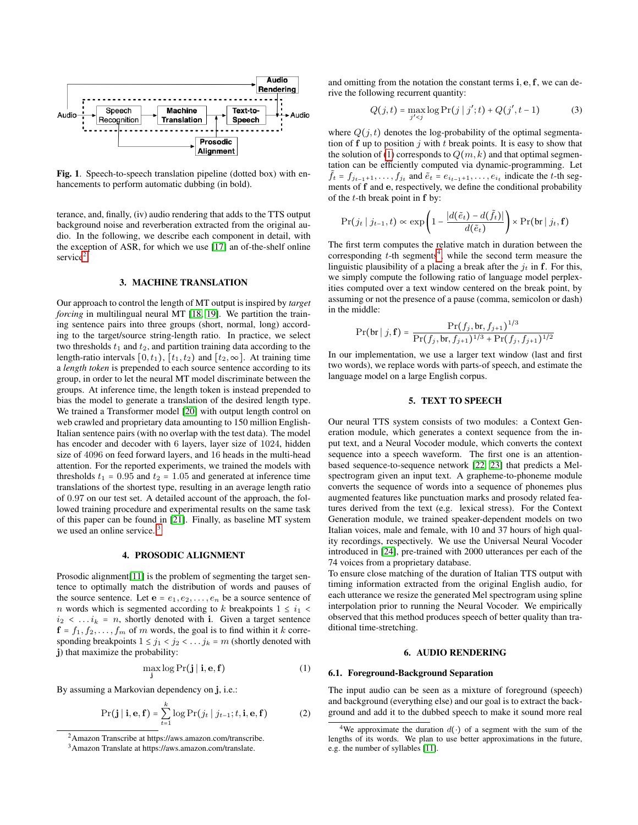

Fig. 1. Speech-to-speech translation pipeline (dotted box) with enhancements to perform automatic dubbing (in bold).

terance, and, finally, (iv) audio rendering that adds to the TTS output background noise and reverberation extracted from the original audio. In the following, we describe each component in detail, with the exception of ASR, for which we use [\[17\]](#page-4-16) an of-the-shelf online service<sup>[2](#page-1-0)</sup>.

### 3. MACHINE TRANSLATION

Our approach to control the length of MT output is inspired by *target forcing* in multilingual neural MT [\[18,](#page-4-17) [19\]](#page-4-18). We partition the training sentence pairs into three groups (short, normal, long) according to the target/source string-length ratio. In practice, we select two thresholds  $t_1$  and  $t_2$ , and partition training data according to the length-ratio intervals [0,  $t_1$ ), [ $t_1$ ,  $t_2$ ) and [ $t_2$ ,  $\infty$ ]. At training time a *length token* is prepended to each source sentence according to its group, in order to let the neural MT model discriminate between the groups. At inference time, the length token is instead prepended to bias the model to generate a translation of the desired length type. We trained a Transformer model [\[20\]](#page-4-19) with output length control on web crawled and proprietary data amounting to 150 million English-Italian sentence pairs (with no overlap with the test data). The model has encoder and decoder with 6 layers, layer size of 1024, hidden size of 4096 on feed forward layers, and 16 heads in the multi-head attention. For the reported experiments, we trained the models with thresholds  $t_1 = 0.95$  and  $t_2 = 1.05$  and generated at inference time translations of the shortest type, resulting in an average length ratio of 0.97 on our test set. A detailed account of the approach, the followed training procedure and experimental results on the same task of this paper can be found in [\[21\]](#page-4-20). Finally, as baseline MT system we used an online service.<sup>[3](#page-1-1)</sup>

## 4. PROSODIC ALIGNMENT

Prosodic alignment[\[11\]](#page-4-10) is the problem of segmenting the target sentence to optimally match the distribution of words and pauses of the source sentence. Let  $e = e_1, e_2, \ldots, e_n$  be a source sentence of *n* words which is segmented according to k breakpoints  $1 \leq i_1$  $i_2$  < ... $i_k$  = n, shortly denoted with i. Given a target sentence  $f = f_1, f_2, \ldots, f_m$  of m words, the goal is to find within it k corresponding breakpoints  $1 \le j_1 < j_2 < \dots j_k = m$  (shortly denoted with j) that maximize the probability:

<span id="page-1-2"></span>
$$
\max_{\mathbf{j}} \log \Pr(\mathbf{j} \mid \mathbf{i}, \mathbf{e}, \mathbf{f}) \tag{1}
$$

By assuming a Markovian dependency on j, i.e.:

$$
\Pr(\mathbf{j} \mid \mathbf{i}, \mathbf{e}, \mathbf{f}) = \sum_{t=1}^{k} \log \Pr(j_t \mid j_{t-1}; t, \mathbf{i}, \mathbf{e}, \mathbf{f})
$$
(2)

and omitting from the notation the constant terms i, e,f, we can derive the following recurrent quantity:

$$
Q(j,t) = \max_{j' < j} \log \Pr(j \mid j'; t) + Q(j', t-1) \tag{3}
$$

where  $Q(j, t)$  denotes the log-probability of the optimal segmentation of  $f$  up to position  $j$  with  $t$  break points. It is easy to show that the solution of [\(1\)](#page-1-2) corresponds to  $Q(m, k)$  and that optimal segmentation can be efficiently computed via dynamic-programming. Let  $\tilde{f}_t = f_{j_{t-1}+1}, \ldots, f_{j_t}$  and  $\tilde{e}_t = e_{i_{t-1}+1}, \ldots, e_{i_t}$  indicate the t-th segments of f and e, respectively, we define the conditional probability of the  $t$ -th break point in  $f$  by:

$$
\Pr(j_t | j_{t-1}, t) \propto \exp\left(1 - \frac{|d(\tilde{e}_t) - d(\tilde{f}_t)|}{d(\tilde{e}_t)}\right) \times \Pr(\text{br} | j_t, \mathbf{f})
$$

The first term computes the relative match in duration between the corresponding  $t$ -th segments<sup>[4](#page-1-3)</sup>, while the second term measure the linguistic plausibility of a placing a break after the  $j_t$  in f. For this, we simply compute the following ratio of language model perplexities computed over a text window centered on the break point, by assuming or not the presence of a pause (comma, semicolon or dash) in the middle:

$$
\Pr(\text{br} \mid j, \mathbf{f}) = \frac{\Pr(f_j, \mathsf{br}, f_{j+1})^{1/3}}{\Pr(f_j, \mathsf{br}, f_{j+1})^{1/3} + \Pr(f_j, f_{j+1})^{1/2}}
$$

In our implementation, we use a larger text window (last and first two words), we replace words with parts-of speech, and estimate the language model on a large English corpus.

## 5. TEXT TO SPEECH

Our neural TTS system consists of two modules: a Context Generation module, which generates a context sequence from the input text, and a Neural Vocoder module, which converts the context sequence into a speech waveform. The first one is an attentionbased sequence-to-sequence network [\[22,](#page-4-21) [23\]](#page-4-22) that predicts a Melspectrogram given an input text. A grapheme-to-phoneme module converts the sequence of words into a sequence of phonemes plus augmented features like punctuation marks and prosody related features derived from the text (e.g. lexical stress). For the Context Generation module, we trained speaker-dependent models on two Italian voices, male and female, with 10 and 37 hours of high quality recordings, respectively. We use the Universal Neural Vocoder introduced in [\[24\]](#page-4-23), pre-trained with 2000 utterances per each of the 74 voices from a proprietary database.

To ensure close matching of the duration of Italian TTS output with timing information extracted from the original English audio, for each utterance we resize the generated Mel spectrogram using spline interpolation prior to running the Neural Vocoder. We empirically observed that this method produces speech of better quality than traditional time-stretching.

## 6. AUDIO RENDERING

#### 6.1. Foreground-Background Separation

The input audio can be seen as a mixture of foreground (speech) and background (everything else) and our goal is to extract the background and add it to the dubbed speech to make it sound more real

<span id="page-1-0"></span><sup>2</sup>Amazon Transcribe at https://aws.amazon.com/transcribe.

<span id="page-1-1"></span><sup>3</sup>Amazon Translate at https://aws.amazon.com/translate.

<span id="page-1-3"></span><sup>&</sup>lt;sup>4</sup>We approximate the duration  $d(·)$  of a segment with the sum of the lengths of its words. We plan to use better approximations in the future, e.g. the number of syllables [\[11\]](#page-4-10).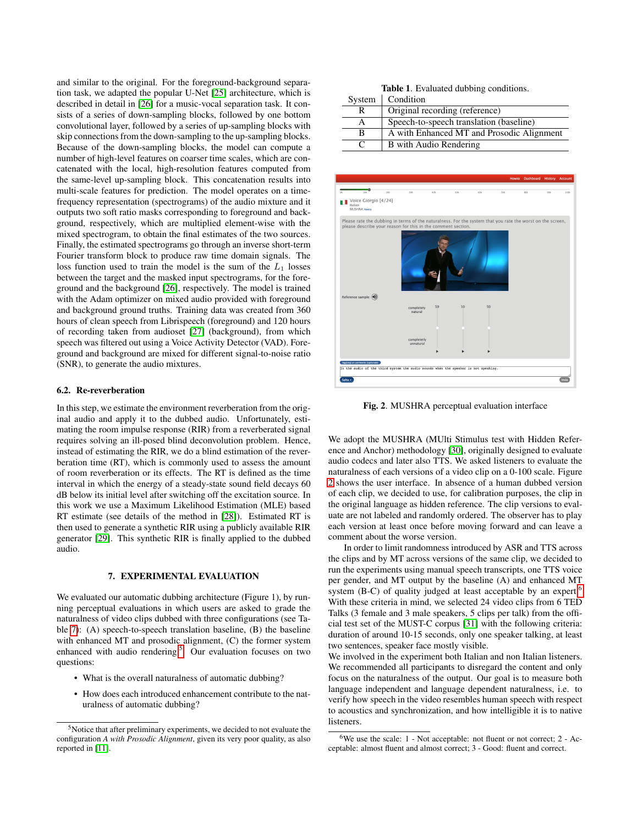and similar to the original. For the foreground-background separation task, we adapted the popular U-Net [\[25\]](#page-4-24) architecture, which is described in detail in [\[26\]](#page-4-25) for a music-vocal separation task. It consists of a series of down-sampling blocks, followed by one bottom convolutional layer, followed by a series of up-sampling blocks with skip connections from the down-sampling to the up-sampling blocks. Because of the down-sampling blocks, the model can compute a number of high-level features on coarser time scales, which are concatenated with the local, high-resolution features computed from the same-level up-sampling block. This concatenation results into multi-scale features for prediction. The model operates on a timefrequency representation (spectrograms) of the audio mixture and it outputs two soft ratio masks corresponding to foreground and background, respectively, which are multiplied element-wise with the mixed spectrogram, to obtain the final estimates of the two sources. Finally, the estimated spectrograms go through an inverse short-term Fourier transform block to produce raw time domain signals. The loss function used to train the model is the sum of the  $L_1$  losses between the target and the masked input spectrograms, for the foreground and the background [\[26\]](#page-4-25), respectively. The model is trained with the Adam optimizer on mixed audio provided with foreground and background ground truths. Training data was created from 360 hours of clean speech from Librispeech (foreground) and 120 hours of recording taken from audioset [\[27\]](#page-4-26) (background), from which speech was filtered out using a Voice Activity Detector (VAD). Foreground and background are mixed for different signal-to-noise ratio (SNR), to generate the audio mixtures.

## 6.2. Re-reverberation

In this step, we estimate the environment reverberation from the original audio and apply it to the dubbed audio. Unfortunately, estimating the room impulse response (RIR) from a reverberated signal requires solving an ill-posed blind deconvolution problem. Hence, instead of estimating the RIR, we do a blind estimation of the reverberation time (RT), which is commonly used to assess the amount of room reverberation or its effects. The RT is defined as the time interval in which the energy of a steady-state sound field decays 60 dB below its initial level after switching off the excitation source. In this work we use a Maximum Likelihood Estimation (MLE) based RT estimate (see details of the method in [\[28\]](#page-4-27)). Estimated RT is then used to generate a synthetic RIR using a publicly available RIR generator [\[29\]](#page-4-28). This synthetic RIR is finally applied to the dubbed audio.

## 7. EXPERIMENTAL EVALUATION

<span id="page-2-0"></span>We evaluated our automatic dubbing architecture (Figure 1), by running perceptual evaluations in which users are asked to grade the naturalness of video clips dubbed with three configurations (see Table [7\)](#page-2-0): (A) speech-to-speech translation baseline, (B) the baseline with enhanced MT and prosodic alignment, (C) the former system enhanced with audio rendering. $5$  Our evaluation focuses on two questions:

- What is the overall naturalness of automatic dubbing?
- How does each introduced enhancement contribute to the naturalness of automatic dubbing?

| <b>Table 1.</b> Evaluated dubbing conditions. |  |
|-----------------------------------------------|--|
| $com$ $Condition$                             |  |

| System       | Condition                                 |
|--------------|-------------------------------------------|
| R            | Original recording (reference)            |
| A            | Speech-to-speech translation (baseline)   |
| в            | A with Enhanced MT and Prosodic Alignment |
| $\mathbf{C}$ | B with Audio Rendering                    |



<span id="page-2-2"></span>Fig. 2. MUSHRA perceptual evaluation interface

We adopt the MUSHRA (MUlti Stimulus test with Hidden Reference and Anchor) methodology [\[30\]](#page-4-29), originally designed to evaluate audio codecs and later also TTS. We asked listeners to evaluate the naturalness of each versions of a video clip on a 0-100 scale. Figure [2](#page-2-2) shows the user interface. In absence of a human dubbed version of each clip, we decided to use, for calibration purposes, the clip in the original language as hidden reference. The clip versions to evaluate are not labeled and randomly ordered. The observer has to play each version at least once before moving forward and can leave a comment about the worse version.

In order to limit randomness introduced by ASR and TTS across the clips and by MT across versions of the same clip, we decided to run the experiments using manual speech transcripts, one TTS voice per gender, and MT output by the baseline (A) and enhanced MT system (B-C) of quality judged at least acceptable by an expert.<sup>[6](#page-2-3)</sup> With these criteria in mind, we selected 24 video clips from 6 TED Talks (3 female and 3 male speakers, 5 clips per talk) from the official test set of the MUST-C corpus [\[31\]](#page-4-30) with the following criteria: duration of around 10-15 seconds, only one speaker talking, at least two sentences, speaker face mostly visible.

We involved in the experiment both Italian and non Italian listeners. We recommended all participants to disregard the content and only focus on the naturalness of the output. Our goal is to measure both language independent and language dependent naturalness, i.e. to verify how speech in the video resembles human speech with respect to acoustics and synchronization, and how intelligible it is to native listeners.

<span id="page-2-1"></span><sup>&</sup>lt;sup>5</sup>Notice that after preliminary experiments, we decided to not evaluate the configuration *A with Prosodic Alignment*, given its very poor quality, as also reported in [\[11\]](#page-4-10).

<span id="page-2-3"></span><sup>&</sup>lt;sup>6</sup>We use the scale: 1 - Not acceptable: not fluent or not correct; 2 - Acceptable: almost fluent and almost correct; 3 - Good: fluent and correct.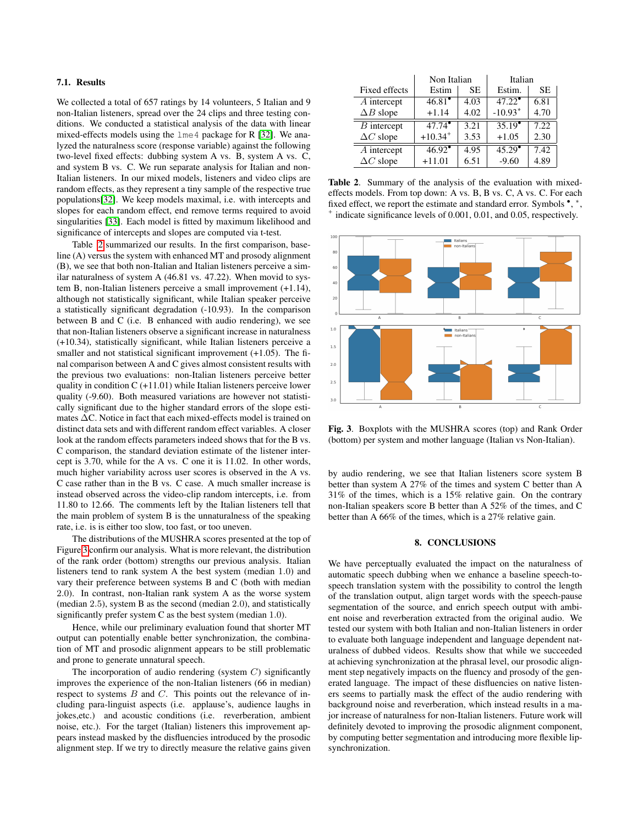## 7.1. Results

We collected a total of 657 ratings by 14 volunteers, 5 Italian and 9 non-Italian listeners, spread over the 24 clips and three testing conditions. We conducted a statistical analysis of the data with linear mixed-effects models using the lme4 package for R [\[32\]](#page-4-31). We analyzed the naturalness score (response variable) against the following two-level fixed effects: dubbing system A vs. B, system A vs. C, and system B vs. C. We run separate analysis for Italian and non-Italian listeners. In our mixed models, listeners and video clips are random effects, as they represent a tiny sample of the respective true populations[\[32\]](#page-4-31). We keep models maximal, i.e. with intercepts and slopes for each random effect, end remove terms required to avoid singularities [\[33\]](#page-4-32). Each model is fitted by maximum likelihood and significance of intercepts and slopes are computed via t-test.

Table [2](#page-3-0) summarized our results. In the first comparison, baseline (A) versus the system with enhanced MT and prosody alignment (B), we see that both non-Italian and Italian listeners perceive a similar naturalness of system A (46.81 vs. 47.22). When movid to system B, non-Italian listeners perceive a small improvement (+1.14), although not statistically significant, while Italian speaker perceive a statistically significant degradation (-10.93). In the comparison between B and C (i.e. B enhanced with audio rendering), we see that non-Italian listeners observe a significant increase in naturalness (+10.34), statistically significant, while Italian listeners perceive a smaller and not statistical significant improvement  $(+1.05)$ . The final comparison between A and C gives almost consistent results with the previous two evaluations: non-Italian listeners perceive better quality in condition  $C$  (+11.01) while Italian listeners perceive lower quality (-9.60). Both measured variations are however not statistically significant due to the higher standard errors of the slope estimates ∆C. Notice in fact that each mixed-effects model is trained on distinct data sets and with different random effect variables. A closer look at the random effects parameters indeed shows that for the B vs. C comparison, the standard deviation estimate of the listener intercept is 3.70, while for the A vs. C one it is 11.02. In other words, much higher variability across user scores is observed in the A vs. C case rather than in the B vs. C case. A much smaller increase is instead observed across the video-clip random intercepts, i.e. from 11.80 to 12.66. The comments left by the Italian listeners tell that the main problem of system B is the unnaturalness of the speaking rate, i.e. is is either too slow, too fast, or too uneven.

The distributions of the MUSHRA scores presented at the top of Figure [3](#page-3-1) confirm our analysis. What is more relevant, the distribution of the rank order (bottom) strengths our previous analysis. Italian listeners tend to rank system A the best system (median 1.0) and vary their preference between systems B and C (both with median 2.0). In contrast, non-Italian rank system A as the worse system (median 2.5), system B as the second (median 2.0), and statistically significantly prefer system C as the best system (median 1.0).

Hence, while our preliminary evaluation found that shorter MT output can potentially enable better synchronization, the combination of MT and prosodic alignment appears to be still problematic and prone to generate unnatural speech.

The incorporation of audio rendering (system  $C$ ) significantly improves the experience of the non-Italian listeners (66 in median) respect to systems  $B$  and  $C$ . This points out the relevance of including para-linguist aspects (i.e. applause's, audience laughs in jokes,etc.) and acoustic conditions (i.e. reverberation, ambient noise, etc.). For the target (Italian) listeners this improvement appears instead masked by the disfluencies introduced by the prosodic alignment step. If we try to directly measure the relative gains given

|                          | Non Italian           |                   | Italian            |      |
|--------------------------|-----------------------|-------------------|--------------------|------|
| Fixed effects            | Estim                 | SЕ                | Estim.             | SE.  |
| $\overline{A}$ intercept | $46.81$ <sup>*</sup>  | 4.03              | $47.\overline{22}$ | 6.81 |
| $\Delta B$ slope         | $+1.14$               | 4.02              | $-10.93*$          | 4.70 |
| $\overline{B}$ intercept | $47.74^{\circ}$       | 3.21              | $35.19^{\circ}$    | 7.22 |
| $\Delta C$ slope         | $+10.34$ <sup>+</sup> | 3.53              | $+1.05$            | 2.30 |
| $\overline{A}$ intercept | 46.92                 | $\overline{4.95}$ | 45.29              | 7.42 |
| $\Delta C$ slope         | $+11.01$              | 6.51              | $-9.60$            | 4.89 |

<span id="page-3-0"></span>Table 2. Summary of the analysis of the evaluation with mixedeffects models. From top down: A vs. B, B vs. C, A vs. C. For each fixed effect, we report the estimate and standard error. Symbols •, \*, + indicate significance levels of 0.001, 0.01, and 0.05, respectively.



<span id="page-3-1"></span>Fig. 3. Boxplots with the MUSHRA scores (top) and Rank Order (bottom) per system and mother language (Italian vs Non-Italian).

by audio rendering, we see that Italian listeners score system B better than system A 27% of the times and system C better than A 31% of the times, which is a 15% relative gain. On the contrary non-Italian speakers score B better than A 52% of the times, and C better than A 66% of the times, which is a 27% relative gain.

# 8. CONCLUSIONS

We have perceptually evaluated the impact on the naturalness of automatic speech dubbing when we enhance a baseline speech-tospeech translation system with the possibility to control the length of the translation output, align target words with the speech-pause segmentation of the source, and enrich speech output with ambient noise and reverberation extracted from the original audio. We tested our system with both Italian and non-Italian listeners in order to evaluate both language independent and language dependent naturalness of dubbed videos. Results show that while we succeeded at achieving synchronization at the phrasal level, our prosodic alignment step negatively impacts on the fluency and prosody of the generated language. The impact of these disfluencies on native listeners seems to partially mask the effect of the audio rendering with background noise and reverberation, which instead results in a major increase of naturalness for non-Italian listeners. Future work will definitely devoted to improving the prosodic alignment component, by computing better segmentation and introducing more flexible lipsynchronization.